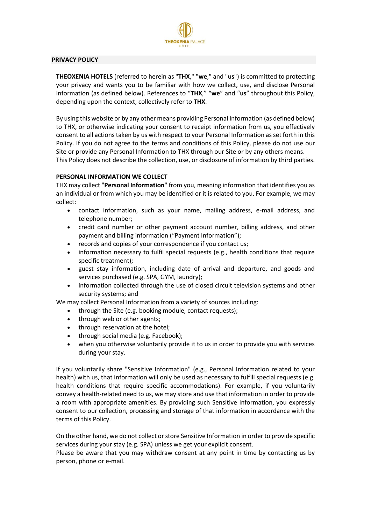

#### **PRIVACY POLICY**

**THEOXENIA HOTELS** (referred to herein as "**THX**," "**we**," and "**us**") is committed to protecting your privacy and wants you to be familiar with how we collect, use, and disclose Personal Information (as defined below). References to "**THX**," "**we**" and "**us**" throughout this Policy, depending upon the context, collectively refer to **THX**.

By using this website or by any other means providing Personal Information (as defined below) to THX, or otherwise indicating your consent to receipt information from us, you effectively consent to all actions taken by us with respect to your Personal Information as set forth in this Policy. If you do not agree to the terms and conditions of this Policy, please do not use our Site or provide any Personal Information to THX through our Site or by any others means. This Policy does not describe the collection, use, or disclosure of information by third parties.

## **PERSONAL INFORMATION WE COLLECT**

THX may collect "**Personal Information**" from you, meaning information that identifies you as an individual or from which you may be identified or it is related to you. For example, we may collect:

- contact information, such as your name, mailing address, e-mail address, and telephone number;
- credit card number or other payment account number, billing address, and other payment and billing information ("Payment Information");
- records and copies of your correspondence if you contact us;
- information necessary to fulfil special requests (e.g., health conditions that require specific treatment);
- guest stay information, including date of arrival and departure, and goods and services purchased (e.g. SPA, GYM, laundry);
- information collected through the use of closed circuit television systems and other security systems; and

We may collect Personal Information from a variety of sources including:

- through the Site (e.g. booking module, contact requests);
- through web or other agents;
- through reservation at the hotel;
- through social media (e.g. Facebook);
- when you otherwise voluntarily provide it to us in order to provide you with services during your stay.

If you voluntarily share "Sensitive Information" (e.g., Personal Information related to your health) with us, that information will only be used as necessary to fulfill special requests (e.g. health conditions that require specific accommodations). For example, if you voluntarily convey a health-related need to us, we may store and use that information in order to provide a room with appropriate amenities. By providing such Sensitive Information, you expressly consent to our collection, processing and storage of that information in accordance with the terms of this Policy.

On the other hand, we do not collect or store Sensitive Information in order to provide specific services during your stay (e.g. SPA) unless we get your explicit consent.

Please be aware that you may withdraw consent at any point in time by contacting us by person, phone or e-mail.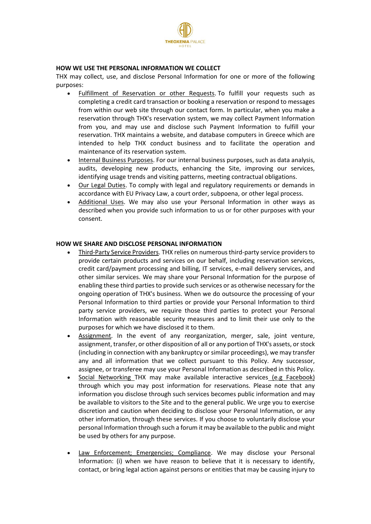

### **HOW WE USE THE PERSONAL INFORMATION WE COLLECT**

THX may collect, use, and disclose Personal Information for one or more of the following purposes:

- Fulfillment of Reservation or other Requests. To fulfill your requests such as completing a credit card transaction or booking a reservation or respond to messages from within our web site through our contact form. In particular, when you make a reservation through THX's reservation system, we may collect Payment Information from you, and may use and disclose such Payment Information to fulfill your reservation. THX maintains a website, and database computers in Greece which are intended to help THX conduct business and to facilitate the operation and maintenance of its reservation system.
- Internal Business Purposes. For our internal business purposes, such as data analysis, audits, developing new products, enhancing the Site, improving our services, identifying usage trends and visiting patterns, meeting contractual obligations.
- Our Legal Duties. To comply with legal and regulatory requirements or demands in accordance with EU Privacy Law, a court order, subpoena, or other legal process.
- Additional Uses. We may also use your Personal Information in other ways as described when you provide such information to us or for other purposes with your consent.

#### **HOW WE SHARE AND DISCLOSE PERSONAL INFORMATION**

- Third-Party Service Providers. THX relies on numerous third-party service providers to provide certain products and services on our behalf, including reservation services, credit card/payment processing and billing, IT services, e-mail delivery services, and other similar services. We may share your Personal Information for the purpose of enabling these third parties to provide such services or as otherwise necessary for the ongoing operation of THX's business. When we do outsource the processing of your Personal Information to third parties or provide your Personal Information to third party service providers, we require those third parties to protect your Personal Information with reasonable security measures and to limit their use only to the purposes for which we have disclosed it to them.
- Assignment. In the event of any reorganization, merger, sale, joint venture, assignment, transfer, or other disposition of all or any portion of THX's assets, or stock (including in connection with any bankruptcy or similar proceedings), we may transfer any and all information that we collect pursuant to this Policy. Any successor, assignee, or transferee may use your Personal Information as described in this Policy.
- Social Networking THX may make available interactive services (e.g Facebook) through which you may post information for reservations. Please note that any information you disclose through such services becomes public information and may be available to visitors to the Site and to the general public. We urge you to exercise discretion and caution when deciding to disclose your Personal Information, or any other information, through these services. If you choose to voluntarily disclose your personal Information through such a forum it may be available to the public and might be used by others for any purpose.
- Law Enforcement; Emergencies; Compliance. We may disclose your Personal Information: (i) when we have reason to believe that it is necessary to identify, contact, or bring legal action against persons or entities that may be causing injury to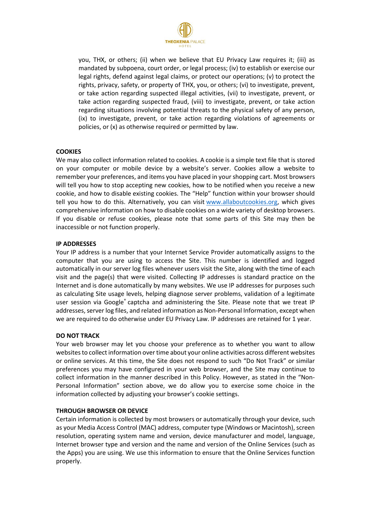

you, THX, or others; (ii) when we believe that EU Privacy Law requires it; (iii) as mandated by subpoena, court order, or legal process; (iv) to establish or exercise our legal rights, defend against legal claims, or protect our operations; (v) to protect the rights, privacy, safety, or property of THX, you, or others; (vi) to investigate, prevent, or take action regarding suspected illegal activities, (vii) to investigate, prevent, or take action regarding suspected fraud, (viii) to investigate, prevent, or take action regarding situations involving potential threats to the physical safety of any person, (ix) to investigate, prevent, or take action regarding violations of agreements or policies, or (x) as otherwise required or permitted by law.

# **COOKIES**

We may also collect information related to cookies. A cookie is a simple text file that is stored on your computer or mobile device by a website's server. Cookies allow a website to remember your preferences, and items you have placed in your shopping cart. Most browsers will tell you how to stop accepting new cookies, how to be notified when you receive a new cookie, and how to disable existing cookies. The "Help" function within your browser should tell you how to do this. Alternatively, you can visit [www.allaboutcookies.org,](http://www.allaboutcookies.org/) which gives comprehensive information on how to disable cookies on a wide variety of desktop browsers. If you disable or refuse cookies, please note that some parts of this Site may then be inaccessible or not function properly.

## **IP ADDRESSES**

Your IP address is a number that your Internet Service Provider automatically assigns to the computer that you are using to access the Site. This number is identified and logged automatically in our server log files whenever users visit the Site, along with the time of each visit and the page(s) that were visited. Collecting IP addresses is standard practice on the Internet and is done automatically by many websites. We use IP addresses for purposes such as calculating Site usage levels, helping diagnose server problems, validation of a legitimate user session via Google® captcha and administering the Site. Please note that we treat IP addresses, server log files, and related information as Non-Personal Information, except when we are required to do otherwise under EU Privacy Law. IP addresses are retained for 1 year.

## **DO NOT TRACK**

Your web browser may let you choose your preference as to whether you want to allow websites to collect information over time about your online activities across different websites or online services. At this time, the Site does not respond to such "Do Not Track" or similar preferences you may have configured in your web browser, and the Site may continue to collect information in the manner described in this Policy. However, as stated in the "Non-Personal Information" section above, we do allow you to exercise some choice in the information collected by adjusting your browser's cookie settings.

## **THROUGH BROWSER OR DEVICE**

Certain information is collected by most browsers or automatically through your device, such as your Media Access Control (MAC) address, computer type (Windows or Macintosh), screen resolution, operating system name and version, device manufacturer and model, language, Internet browser type and version and the name and version of the Online Services (such as the Apps) you are using. We use this information to ensure that the Online Services function properly.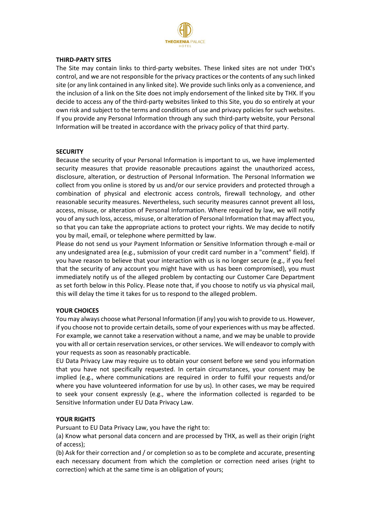

#### **THIRD-PARTY SITES**

The Site may contain links to third-party websites. These linked sites are not under THX's control, and we are not responsible for the privacy practices or the contents of any such linked site (or any link contained in any linked site). We provide such links only as a convenience, and the inclusion of a link on the Site does not imply endorsement of the linked site by THX. If you decide to access any of the third-party websites linked to this Site, you do so entirely at your own risk and subject to the terms and conditions of use and privacy policies for such websites. If you provide any Personal Information through any such third-party website, your Personal Information will be treated in accordance with the privacy policy of that third party.

## **SECURITY**

Because the security of your Personal Information is important to us, we have implemented security measures that provide reasonable precautions against the unauthorized access, disclosure, alteration, or destruction of Personal Information. The Personal Information we collect from you online is stored by us and/or our service providers and protected through a combination of physical and electronic access controls, firewall technology, and other reasonable security measures. Nevertheless, such security measures cannot prevent all loss, access, misuse, or alteration of Personal Information. Where required by law, we will notify you of any such loss, access, misuse, or alteration of Personal Information that may affect you, so that you can take the appropriate actions to protect your rights. We may decide to notify you by mail, email, or telephone where permitted by law.

Please do not send us your Payment Information or Sensitive Information through e-mail or any undesignated area (e.g., submission of your credit card number in a "comment" field). If you have reason to believe that your interaction with us is no longer secure (e.g., if you feel that the security of any account you might have with us has been compromised), you must immediately notify us of the alleged problem by contacting our Customer Care Department as set forth below in this Policy. Please note that, if you choose to notify us via physical mail, this will delay the time it takes for us to respond to the alleged problem.

## **YOUR CHOICES**

You may always choose what Personal Information (if any) you wish to provide to us. However, if you choose not to provide certain details, some of your experiences with us may be affected. For example, we cannot take a reservation without a name, and we may be unable to provide you with all or certain reservation services, or other services. We will endeavor to comply with your requests as soon as reasonably practicable.

EU Data Privacy Law may require us to obtain your consent before we send you information that you have not specifically requested. In certain circumstances, your consent may be implied (e.g., where communications are required in order to fulfil your requests and/or where you have volunteered information for use by us). In other cases, we may be required to seek your consent expressly (e.g., where the information collected is regarded to be Sensitive Information under EU Data Privacy Law.

## **YOUR RIGHTS**

Pursuant to EU Data Privacy Law, you have the right to:

(a) Know what personal data concern and are processed by THX, as well as their origin (right of access);

(b) Ask for their correction and / or completion so as to be complete and accurate, presenting each necessary document from which the completion or correction need arises (right to correction) which at the same time is an obligation of yours;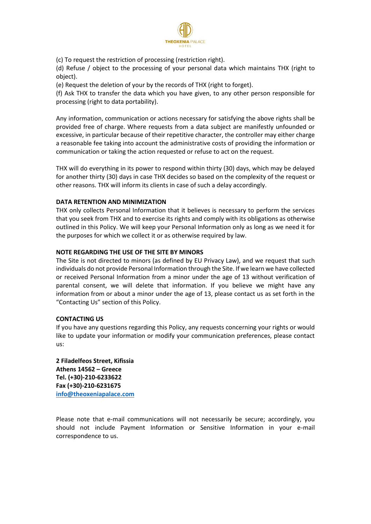

(c) To request the restriction of processing (restriction right).

(d) Refuse / object to the processing of your personal data which maintains THX (right to object).

(e) Request the deletion of your by the records of THX (right to forget).

(f) Ask THX to transfer the data which you have given, to any other person responsible for processing (right to data portability).

Any information, communication or actions necessary for satisfying the above rights shall be provided free of charge. Where requests from a data subject are manifestly unfounded or excessive, in particular because of their repetitive character, the controller may either charge a reasonable fee taking into account the administrative costs of providing the information or communication or taking the action requested or refuse to act on the request.

THX will do everything in its power to respond within thirty (30) days, which may be delayed for another thirty (30) days in case THX decides so based on the complexity of the request or other reasons. THX will inform its clients in case of such a delay accordingly.

# **DATA RETENTION AND MINIMIZATION**

THX only collects Personal Information that it believes is necessary to perform the services that you seek from THX and to exercise its rights and comply with its obligations as otherwise outlined in this Policy. We will keep your Personal Information only as long as we need it for the purposes for which we collect it or as otherwise required by law.

# **NOTE REGARDING THE USE OF THE SITE BY MINORS**

The Site is not directed to minors (as defined by EU Privacy Law), and we request that such individuals do not provide Personal Information through the Site. If we learn we have collected or received Personal Information from a minor under the age of 13 without verification of parental consent, we will delete that information. If you believe we might have any information from or about a minor under the age of 13, please contact us as set forth in the "Contacting Us" section of this Policy.

## **CONTACTING US**

If you have any questions regarding this Policy, any requests concerning your rights or would like to update your information or modify your communication preferences, please contact us:

**2 Filadelfeos Street, Kifissia Athens 14562 – Greece Tel. (+30)-210-6233622 Fax (+30)-210-6231675 [info@theoxeniapalace.com](mailto:info@theoxeniapalace.com)**

Please note that e-mail communications will not necessarily be secure; accordingly, you should not include Payment Information or Sensitive Information in your e-mail correspondence to us.